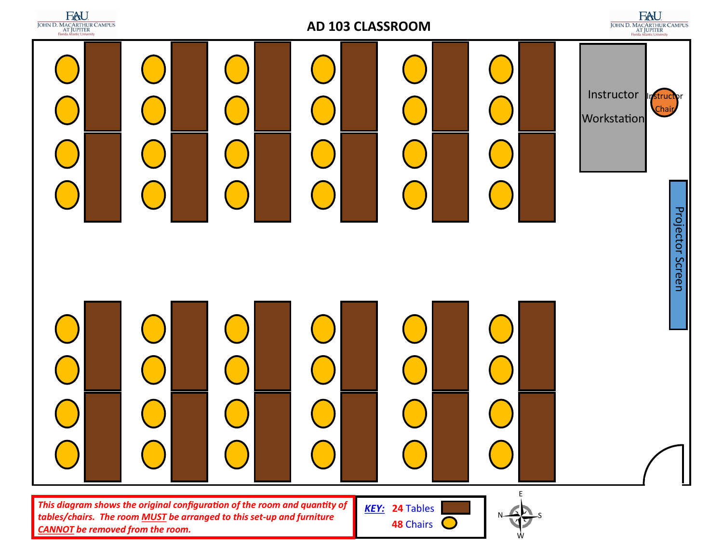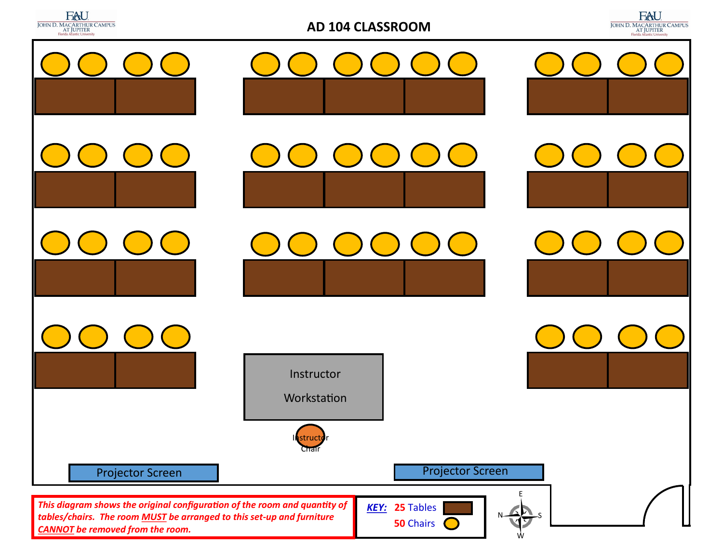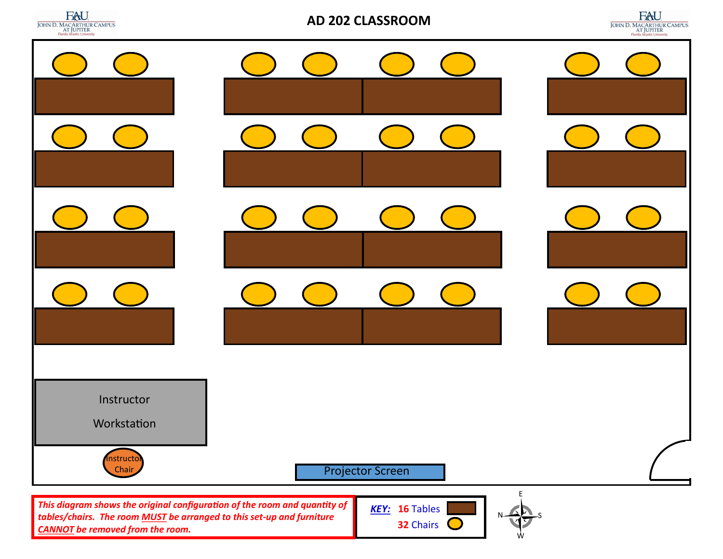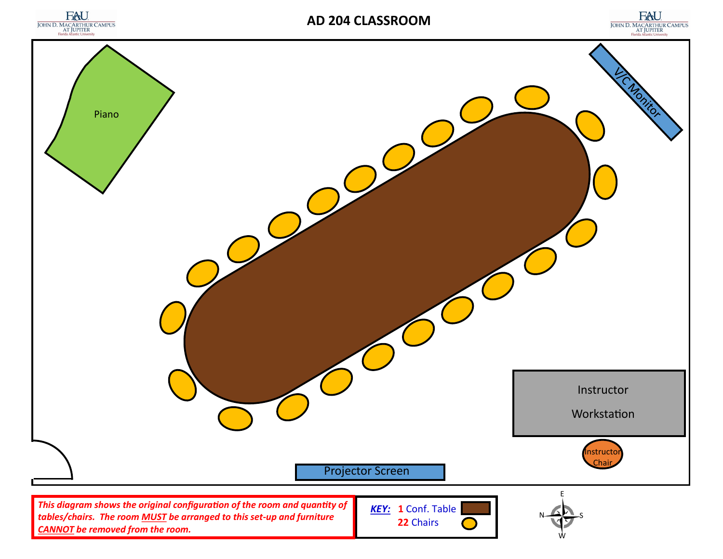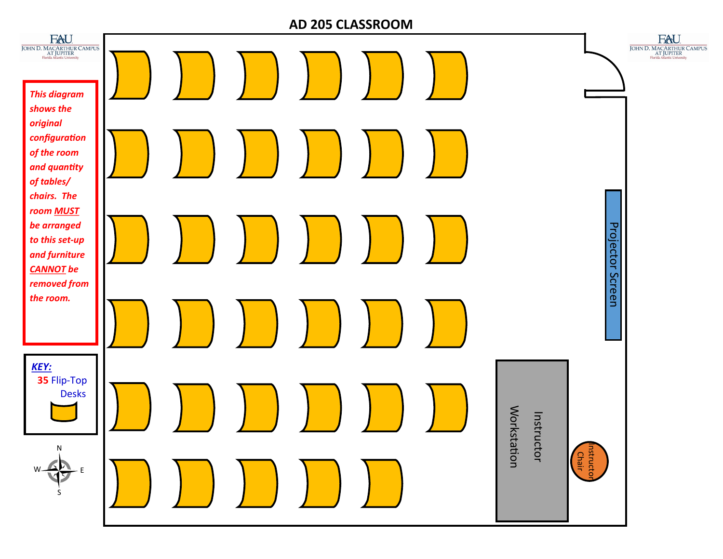|                                                                                                                         |  |                                                             | <b>AD 205 CLASSROOM</b> |                     |                                                                                                   |  |
|-------------------------------------------------------------------------------------------------------------------------|--|-------------------------------------------------------------|-------------------------|---------------------|---------------------------------------------------------------------------------------------------|--|
| <b>FAU</b><br>JOHN D. MACARTHUR CAMPUS<br>AT JUPITER<br>Florida Atlantic University<br><b>This diagram</b><br>shows the |  |                                                             |                         |                     | <b>FAU</b><br><b>JOHN D. MACARTHUR CAMPUS</b><br>AT <b>JUPITER</b><br>Florida Atlantic University |  |
| original<br>configuration<br>of the room<br>and quantity<br>of tables/<br>chairs. The                                   |  |                                                             |                         |                     |                                                                                                   |  |
| room MUST<br>be arranged<br>to this set-up<br>and furniture<br><b>CANNOT</b> be                                         |  |                                                             |                         |                     | Projector Screen                                                                                  |  |
| removed from<br>the room.                                                                                               |  |                                                             |                         |                     |                                                                                                   |  |
| KEY:<br>35 Flip-Top<br><b>Desks</b>                                                                                     |  |                                                             |                         | <b>Worl</b><br>Inst |                                                                                                   |  |
| Ņ                                                                                                                       |  | $\begin{array}{c} \begin{array}{c} \end{array} \end{array}$ |                         | kstation<br>tructor | Instructo<br>Chair                                                                                |  |